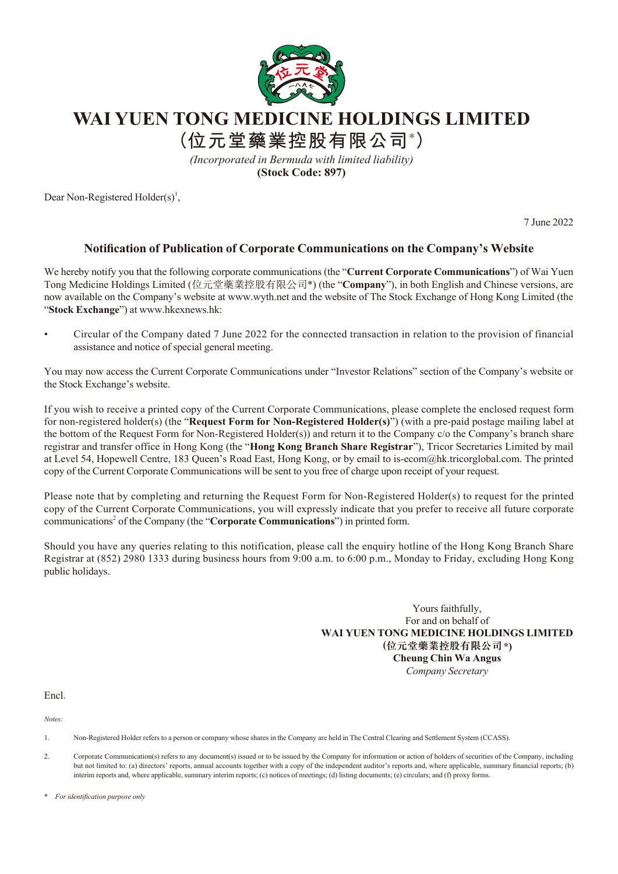

**WAI YUEN TONG MEDICINE HOLDINGS LIMITED**

**(位元堂藥業控股有限公司\* )**

*(Incorporated in Bermuda with limited liability)* **(Stock Code: 897)**

Dear Non-Registered Holder(s)<sup>1</sup>,

7 June 2022

## **Notification of Publication of Corporate Communications on the Company's Website**

We hereby notify you that the following corporate communications (the "**Current Corporate Communications**") of Wai Yuen Tong Medicine Holdings Limited (位元堂藥業控股有限公司\*) (the "**Company**"), in both English and Chinese versions, are now available on the Company's website at www.wyth.net and the website of The Stock Exchange of Hong Kong Limited (the "**Stock Exchange**") at www.hkexnews.hk:

• Circular of the Company dated 7 June 2022 for the connected transaction in relation to the provision of financial assistance and notice of special general meeting.

You may now access the Current Corporate Communications under "Investor Relations" section of the Company's website or the Stock Exchange's website.

If you wish to receive a printed copy of the Current Corporate Communications, please complete the enclosed request form for non-registered holder(s) (the "**Request Form for Non-Registered Holder(s)**") (with a pre-paid postage mailing label at the bottom of the Request Form for Non-Registered Holder(s)) and return it to the Company c/o the Company's branch share registrar and transfer office in Hong Kong (the "**Hong Kong Branch Share Registrar**"), Tricor Secretaries Limited by mail at Level 54, Hopewell Centre, 183 Queen's Road East, Hong Kong, or by email to is-ecom@hk.tricorglobal.com. The printed copy of the Current Corporate Communications will be sent to you free of charge upon receipt of your request.

Please note that by completing and returning the Request Form for Non-Registered Holder(s) to request for the printed copy of the Current Corporate Communications, you will expressly indicate that you prefer to receive all future corporate communications<sup>2</sup> of the Company (the "Corporate Communications") in printed form.

Should you have any queries relating to this notification, please call the enquiry hotline of the Hong Kong Branch Share Registrar at (852) 2980 1333 during business hours from 9:00 a.m. to 6:00 p.m., Monday to Friday, excluding Hong Kong public holidays.

> Yours faithfully, For and on behalf of **WAI YUEN TONG MEDICINE HOLDINGS LIMITED (位元堂藥業控股有限公司\*) Cheung Chin Wa Angus** *Company Secretary*

Encl.

*Notes:*

- 1. Non-Registered Holder refers to a person or company whose shares in the Company are held in The Central Clearing and Settlement System (CCASS).
- 2. Corporate Communication(s) refers to any document(s) issued or to be issued by the Company for information or action of holders of securities of the Company, including but not limited to: (a) directors' reports, annual accounts together with a copy of the independent auditor's reports and, where applicable, summary financial reports; (b) interim reports and, where applicable, summary interim reports; (c) notices of meetings; (d) listing documents; (e) circulars; and (f) proxy forms.

\* *For identification purpose only*